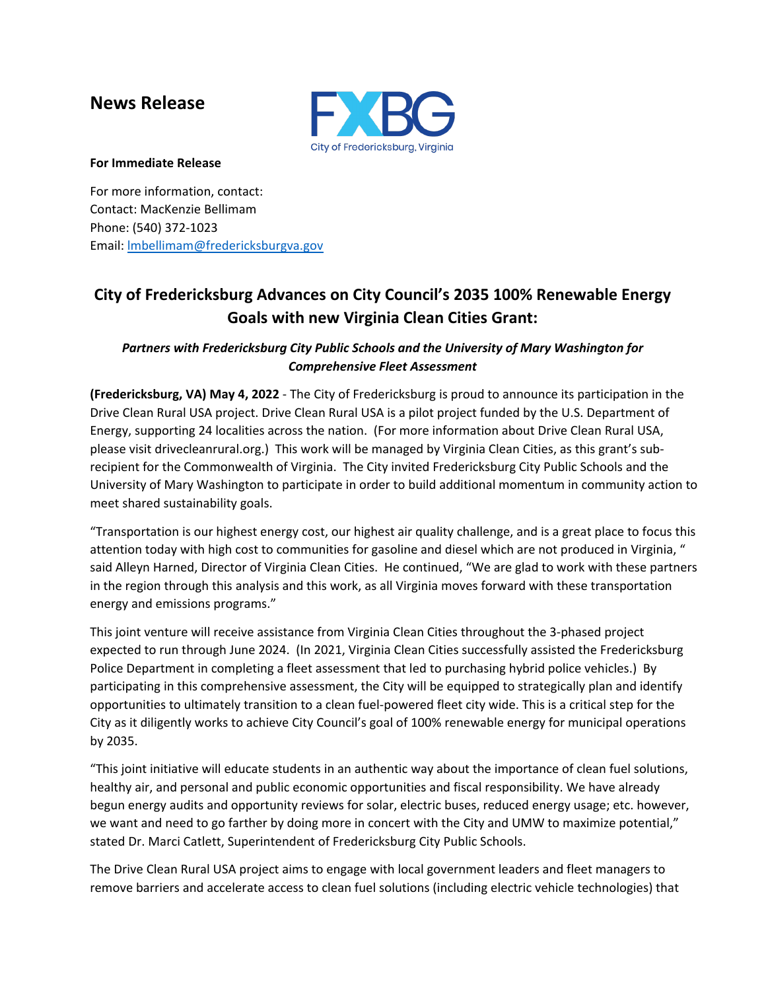## **News Release**



## **For Immediate Release**

For more information, contact: Contact: MacKenzie Bellimam Phone: (540) 372-1023 Email: [lmbellimam@fredericksburgva.gov](mailto:lmbellimam@fredericksburgva.gov)

## **City of Fredericksburg Advances on City Council's 2035 100% Renewable Energy Goals with new Virginia Clean Cities Grant:**

## *Partners with Fredericksburg City Public Schools and the University of Mary Washington for Comprehensive Fleet Assessment*

**(Fredericksburg, VA) May 4, 2022** - The City of Fredericksburg is proud to announce its participation in the Drive Clean Rural USA project. Drive Clean Rural USA is a pilot project funded by the U.S. Department of Energy, supporting 24 localities across the nation. (For more information about Drive Clean Rural USA, please visit drivecleanrural.org.) This work will be managed by Virginia Clean Cities, as this grant's subrecipient for the Commonwealth of Virginia. The City invited Fredericksburg City Public Schools and the University of Mary Washington to participate in order to build additional momentum in community action to meet shared sustainability goals.

"Transportation is our highest energy cost, our highest air quality challenge, and is a great place to focus this attention today with high cost to communities for gasoline and diesel which are not produced in Virginia, " said Alleyn Harned, Director of Virginia Clean Cities. He continued, "We are glad to work with these partners in the region through this analysis and this work, as all Virginia moves forward with these transportation energy and emissions programs."

This joint venture will receive assistance from Virginia Clean Cities throughout the 3-phased project expected to run through June 2024. (In 2021, Virginia Clean Cities successfully assisted the Fredericksburg Police Department in completing a fleet assessment that led to purchasing hybrid police vehicles.) By participating in this comprehensive assessment, the City will be equipped to strategically plan and identify opportunities to ultimately transition to a clean fuel-powered fleet city wide. This is a critical step for the City as it diligently works to achieve City Council's goal of 100% renewable energy for municipal operations by 2035.

"This joint initiative will educate students in an authentic way about the importance of clean fuel solutions, healthy air, and personal and public economic opportunities and fiscal responsibility. We have already begun energy audits and opportunity reviews for solar, electric buses, reduced energy usage; etc. however, we want and need to go farther by doing more in concert with the City and UMW to maximize potential," stated Dr. Marci Catlett, Superintendent of Fredericksburg City Public Schools.

The Drive Clean Rural USA project aims to engage with local government leaders and fleet managers to remove barriers and accelerate access to clean fuel solutions (including electric vehicle technologies) that